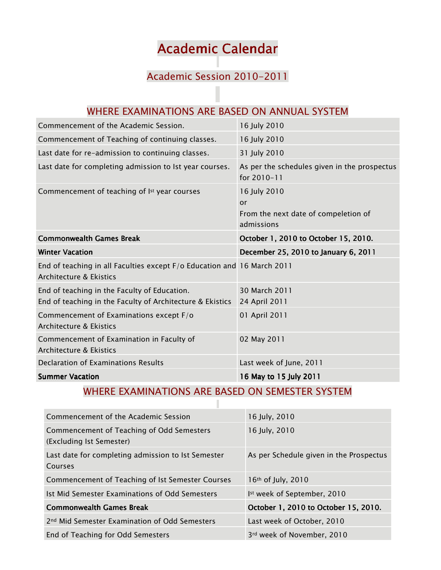## Academic Calendar

## Academic Session 2010-2011

| WHERE EXAMINATIONS ARE BASED ON ANNUAL SYSTEM                                                             |                                                                          |  |
|-----------------------------------------------------------------------------------------------------------|--------------------------------------------------------------------------|--|
| Commencement of the Academic Session.                                                                     | 16 July 2010                                                             |  |
| Commencement of Teaching of continuing classes.                                                           | 16 July 2010                                                             |  |
| Last date for re-admission to continuing classes.                                                         | 31 July 2010                                                             |  |
| Last date for completing admission to Ist year courses.                                                   | As per the schedules given in the prospectus<br>for 2010-11              |  |
| Commencement of teaching of Ist year courses                                                              | 16 July 2010<br>or<br>From the next date of compeletion of<br>admissions |  |
| <b>Commonwealth Games Break</b>                                                                           | October 1, 2010 to October 15, 2010.                                     |  |
|                                                                                                           |                                                                          |  |
| <b>Winter Vacation</b>                                                                                    | December 25, 2010 to January 6, 2011                                     |  |
| End of teaching in all Faculties except F/o Education and 16 March 2011<br>Architecture & Ekistics        |                                                                          |  |
| End of teaching in the Faculty of Education.<br>End of teaching in the Faculty of Architecture & Ekistics | 30 March 2011<br>24 April 2011                                           |  |
| Commencement of Examinations except F/o<br>Architecture & Ekistics                                        | 01 April 2011                                                            |  |
| Commencement of Examination in Faculty of<br>Architecture & Ekistics                                      | 02 May 2011                                                              |  |
| Declaration of Examinations Results                                                                       | Last week of June, 2011                                                  |  |

## WHERE EXAMINATIONS ARE BASED ON SEMESTER SYSTEM П

| Commencement of the Academic Session                                  | 16 July, 2010                           |
|-----------------------------------------------------------------------|-----------------------------------------|
| Commencement of Teaching of Odd Semesters<br>(Excluding Ist Semester) | 16 July, 2010                           |
| Last date for completing admission to Ist Semester<br>Courses         | As per Schedule given in the Prospectus |
| Commencement of Teaching of Ist Semester Courses                      | 16 <sup>th</sup> of July, 2010          |
| Ist Mid Semester Examinations of Odd Semesters                        | Ist week of September, 2010             |
| <b>Commonwealth Games Break</b>                                       | October 1, 2010 to October 15, 2010.    |
| 2 <sup>nd</sup> Mid Semester Examination of Odd Semesters             | Last week of October, 2010              |
| End of Teaching for Odd Semesters                                     | 3rd week of November, 2010              |